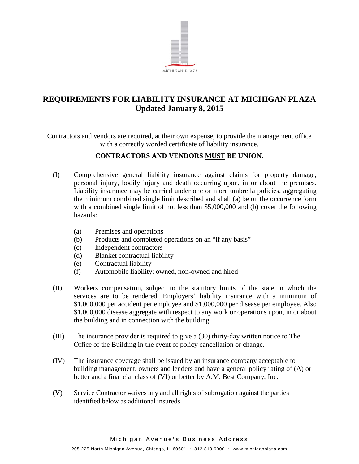

## **REQUIREMENTS FOR LIABILITY INSURANCE AT MICHIGAN PLAZA Updated January 8, 2015**

Contractors and vendors are required, at their own expense, to provide the management office with a correctly worded certificate of liability insurance.

## **CONTRACTORS AND VENDORS MUST BE UNION.**

- (I) Comprehensive general liability insurance against claims for property damage, personal injury, bodily injury and death occurring upon, in or about the premises. Liability insurance may be carried under one or more umbrella policies, aggregating the minimum combined single limit described and shall (a) be on the occurrence form with a combined single limit of not less than \$5,000,000 and (b) cover the following hazards:
	- (a) Premises and operations
	- (b) Products and completed operations on an "if any basis"
	- (c) Independent contractors
	- (d) Blanket contractual liability
	- (e) Contractual liability
	- (f) Automobile liability: owned, non-owned and hired
- (II) Workers compensation, subject to the statutory limits of the state in which the services are to be rendered. Employers' liability insurance with a minimum of \$1,000,000 per accident per employee and \$1,000,000 per disease per employee. Also \$1,000,000 disease aggregate with respect to any work or operations upon, in or about the building and in connection with the building.
- (III) The insurance provider is required to give a (30) thirty-day written notice to The Office of the Building in the event of policy cancellation or change.
- (IV) The insurance coverage shall be issued by an insurance company acceptable to building management, owners and lenders and have a general policy rating of (A) or better and a financial class of (VI) or better by A.M. Best Company, Inc.
- (V) Service Contractor waives any and all rights of subrogation against the parties identified below as additional insureds.